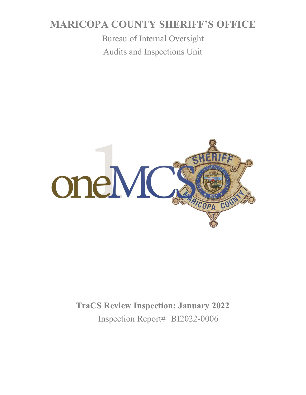# **MARICOPA COUNTY SHERIFF'S OFFICE**

Bureau of Internal Oversight Audits and Inspections Unit



**TraCS Review Inspection: January 2022** Inspection Report# BI2022-0006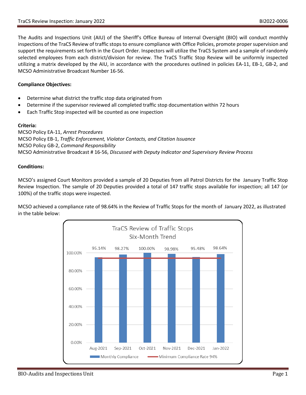The Audits and Inspections Unit (AIU) of the Sheriff's Office Bureau of Internal Oversight (BIO) will conduct monthly inspections of the TraCS Review of traffic stops to ensure compliance with Office Policies, promote proper supervision and support the requirements set forth in the Court Order. Inspectors will utilize the TraCS System and a sample of randomly selected employees from each district/division for review. The TraCS Traffic Stop Review will be uniformly inspected utilizing a matrix developed by the AIU, in accordance with the procedures outlined in policies EA-11, EB-1, GB-2, and MCSO Administrative Broadcast Number 16-56.

#### **Compliance Objectives:**

- Determine what district the traffic stop data originated from
- Determine if the supervisor reviewed all completed traffic stop documentation within 72 hours
- Each Traffic Stop inspected will be counted as one inspection

#### **Criteria:**

MCSO Policy EA-11, *Arrest Procedures* MCSO Policy EB-1, *Traffic Enforcement, Violator Contacts, and Citation Issuance* MCSO Policy GB-2, *Command Responsibility* MCSO Administrative Broadcast # 16-56, *Discussed with Deputy Indicator and Supervisory Review Process*

#### **Conditions:**

MCSO's assigned Court Monitors provided a sample of 20 Deputies from all Patrol Districts for the January Traffic Stop Review Inspection. The sample of 20 Deputies provided a total of 147 traffic stops available for inspection; all 147 (or 100%) of the traffic stops were inspected.

MCSO achieved a compliance rate of 98.64% in the Review of Traffic Stops for the month of January 2022, as illustrated in the table below:

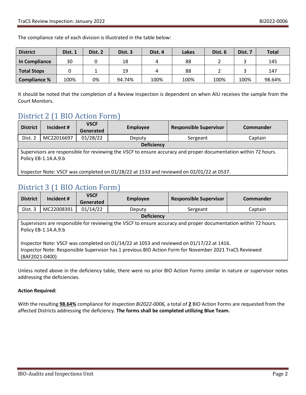The compliance rate of each division is illustrated in the table below:

| <b>District</b>     | Dist. 1 | Dist. 2 | Dist. 3 | Dist. 4 | Lakes | Dist. 6 | Dist. 7 | <b>Total</b> |
|---------------------|---------|---------|---------|---------|-------|---------|---------|--------------|
| In Compliance       | 30      |         | 18      |         | 88    |         |         | 145          |
| <b>Total Stops</b>  |         |         | 19      |         | 88    |         |         | 147          |
| <b>Compliance %</b> | 100%    | 0%      | 94.74%  | 100%    | 100%  | 100%    | 100%    | 98.64%       |

It should be noted that the completion of a Review Inspection is dependent on when AIU receives the sample from the Court Monitors.

## District 2 (1 BIO Action Form)

| <b>District</b>                                                                                                                         | Incident # | <b>VSCF</b><br>Generated | <b>Employee</b> | <b>Responsible Supervisor</b> | Commander |  |  |
|-----------------------------------------------------------------------------------------------------------------------------------------|------------|--------------------------|-----------------|-------------------------------|-----------|--|--|
| Dist. 2                                                                                                                                 | MC22016697 | 01/28/22                 | Deputy          | Sergeant                      | Captain   |  |  |
| <b>Deficiency</b>                                                                                                                       |            |                          |                 |                               |           |  |  |
| Supervisors are responsible for reviewing the VSCF to ensure accuracy and proper documentation within 72 hours.<br>Policy EB-1.14.A.9.b |            |                          |                 |                               |           |  |  |
|                                                                                                                                         |            |                          |                 |                               |           |  |  |
| Inspector Note: VSCF was completed on 01/28/22 at 1533 and reviewed on 02/01/22 at 0537.                                                |            |                          |                 |                               |           |  |  |

## District 3 (1 BIO Action Form)

| <b>District</b>                                                                                                                                                                                                      | Incident # | <b>VSCF</b><br>Generated | <b>Employee</b>    | <b>Responsible Supervisor</b> | Commander |  |
|----------------------------------------------------------------------------------------------------------------------------------------------------------------------------------------------------------------------|------------|--------------------------|--------------------|-------------------------------|-----------|--|
| Dist. 3                                                                                                                                                                                                              | MC22008391 | 01/14/22                 | Sergeant<br>Deputy |                               | Captain   |  |
| <b>Deficiency</b>                                                                                                                                                                                                    |            |                          |                    |                               |           |  |
| Supervisors are responsible for reviewing the VSCF to ensure accuracy and proper documentation within 72 hours.<br>Policy EB-1.14.A.9.b                                                                              |            |                          |                    |                               |           |  |
| Inspector Note: VSCF was completed on 01/14/22 at 1053 and reviewed on 01/17/22 at 1416.<br>Inspector Note: Responsible Supervisor has 1 previous BIO Action Form for November 2021 TraCS Reviewed<br>(BAF2021-0400) |            |                          |                    |                               |           |  |

Unless noted above in the deficiency table, there were no prior BIO Action Forms similar in nature or supervisor notes addressing the deficiencies.

### **Action Required:**

With the resulting **98.64%** compliance for *Inspection BI2022-0006,* a total of **2** BIO Action Forms are requested from the affected Districts addressing the deficiency. **The forms shall be completed utilizing Blue Team.**